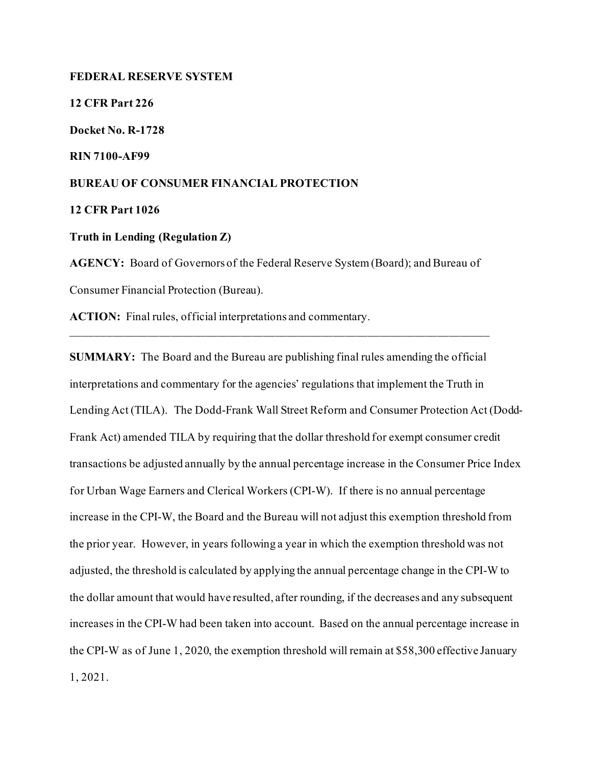## **FEDERAL RESERVE SYSTEM**

**12 CFR Part 226**

**Docket No. R-1728**

**RIN 7100-AF99**

## **BUREAU OF CONSUMER FINANCIAL PROTECTION**

**12 CFR Part 1026**

**Truth in Lending (Regulation Z)** 

**AGENCY:** Board of Governors of the Federal Reserve System (Board); and Bureau of Consumer Financial Protection (Bureau).

**ACTION:** Final rules, official interpretations and commentary.

**SUMMARY:** The Board and the Bureau are publishing final rules amending the official interpretations and commentary for the agencies' regulations that implement the Truth in Lending Act (TILA). The Dodd-Frank Wall Street Reform and Consumer Protection Act (Dodd-Frank Act) amended TILA by requiring that the dollar threshold for exempt consumer credit transactions be adjusted annually by the annual percentage increase in the Consumer Price Index for Urban Wage Earners and Clerical Workers (CPI-W). If there is no annual percentage increase in the CPI-W, the Board and the Bureau will not adjust this exemption threshold from the prior year. However, in years following a year in which the exemption threshold was not adjusted, the threshold is calculated by applying the annual percentage change in the CPI-W to the dollar amount that would have resulted, after rounding, if the decreases and any subsequent increases in the CPI-W had been taken into account. Based on the annual percentage increase in the CPI-W as of June 1, 2020, the exemption threshold will remain at \$58,300 effective January 1, 2021.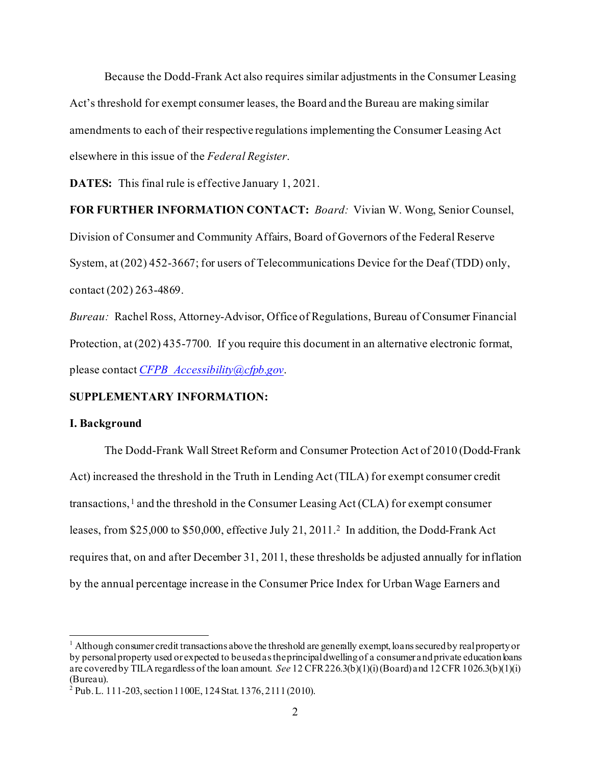Because the Dodd-Frank Act also requires similar adjustments in the Consumer Leasing Act's threshold for exempt consumer leases, the Board and the Bureau are making similar amendments to each of their respective regulations implementing the Consumer Leasing Act elsewhere in this issue of the *Federal Register*.

**DATES:** This final rule is effective January 1, 2021.

## **FOR FURTHER INFORMATION CONTACT:** *Board:* Vivian W. Wong, Senior Counsel,

Division of Consumer and Community Affairs, Board of Governors of the Federal Reserve System, at (202) 452-3667; for users of Telecommunications Device for the Deaf (TDD) only, contact (202) 263-4869.

*Bureau:* Rachel Ross, Attorney-Advisor, Office of Regulations, Bureau of Consumer Financial Protection, at (202) 435-7700. If you require this document in an alternative electronic format, please contact *[CFPB\\_Accessibility@cfpb.gov](mailto:CFPB_Accessibility@cfpb.gov)*.

## **SUPPLEMENTARY INFORMATION:**

#### **I. Background**

The Dodd-Frank Wall Street Reform and Consumer Protection Act of 2010 (Dodd-Frank Act) increased the threshold in the Truth in Lending Act (TILA) for exempt consumer credit transactions, $<sup>1</sup>$  $<sup>1</sup>$  $<sup>1</sup>$  and the threshold in the Consumer Leasing Act (CLA) for exempt consumer</sup> leases, from \$25,000 to \$50,000, effective July 21, 2011.[2](#page-1-1) In addition, the Dodd-Frank Act requires that, on and after December 31, 2011, these thresholds be adjusted annually for inflation by the annual percentage increase in the Consumer Price Index for Urban Wage Earners and

<span id="page-1-0"></span> $<sup>1</sup>$  Although consumer credit transactions above the threshold are generally exempt, loans secured by real property or</sup> by personal property used or expected to be used as the principal dwelling of a consumer and private education loans are covered by TILA regardless of the loan amount. *See* 12 CFR 226.3(b)(1)(i) (Board) and 12 CFR 1026.3(b)(1)(i) (Bureau).

<span id="page-1-1"></span><sup>2</sup> Pub.L. 111-203, section 1100E, 124 Stat. 1376, 2111(2010).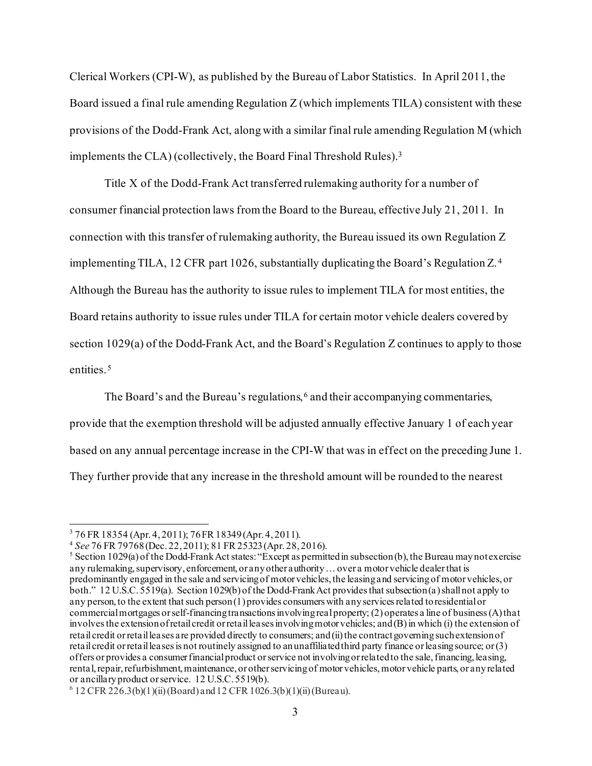Clerical Workers (CPI-W), as published by the Bureau of Labor Statistics. In April 2011, the Board issued a final rule amending Regulation Z (which implements TILA) consistent with these provisions of the Dodd-Frank Act, along with a similar final rule amending Regulation M (which implements the CLA) (collectively, the Board Final Threshold Rules).[3](#page-2-0)

Title X of the Dodd-Frank Act transferred rulemaking authority for a number of consumer financial protection laws from the Board to the Bureau, effective July 21, 2011. In connection with this transfer of rulemaking authority, the Bureau issued its own Regulation Z implementing TILA, 12 CFR part 1026, substantially duplicating the Board's Regulation Z.[4](#page-2-1) Although the Bureau has the authority to issue rules to implement TILA for most entities, the Board retains authority to issue rules under TILA for certain motor vehicle dealers covered by section 1029(a) of the Dodd-Frank Act, and the Board's Regulation Z continues to apply to those entities.<sup>[5](#page-2-2)</sup>

The Board's and the Bureau's regulations,<sup>[6](#page-2-3)</sup> and their accompanying commentaries, provide that the exemption threshold will be adjusted annually effective January 1 of each year

based on any annual percentage increase in the CPI-W that was in effect on the preceding June 1.

They further provide that any increase in the threshold amount will be rounded to the nearest

<span id="page-2-0"></span><sup>&</sup>lt;sup>3</sup> 76 FR 18354 (Apr. 4, 2011); 76 FR 18349 (Apr. 4, 2011).<br><sup>4</sup> See 76 FR 79768 (Dec. 22, 2011); 81 FR 25323 (Apr. 28, 2016).

<span id="page-2-2"></span><span id="page-2-1"></span><sup>&</sup>lt;sup>5</sup> Section 1029(a) of the Dodd-Frank Act states: "Except as permitted in subsection (b), the Bureau may not exercise any rulemaking, supervisory, enforcement, or any other authority ... over a motor vehicle dealer that is predominantly engaged in the sale and servicing of motor vehicles, the leasing and servicing of motor vehicles, or both." 12 U.S.C. 5519(a). Section 1029(b) of the Dodd-Frank Act provides that subsection (a) shall not apply to any person, to the extent that such person (1) provides consumers with any services related to residential or commercial mortgages or self-financing transactions involving real property; (2) operates a line of business (A) that involves the extension of retail credit or retail leases involving motor vehicles; and (B) in which (i) the extension of retail credit or retail leases are provided directly to consumers; and (ii) the contract governing such extension of retail credit or retail leases is not routinely assigned to an unaffiliated third party finance or leasing source; or (3) offers or provides a consumer financial product or service not involving or related to the sale, financing, leasing, rental, repair, refurbishment, maintenance, or other servicing of motor vehicles, motor vehicle parts, or any related or ancillary product or service. 12 U.S.C. 5519(b).

<span id="page-2-3"></span> $6$  12 CFR 226.3(b)(1)(ii) (Board) and 12 CFR 1026.3(b)(1)(ii) (Bureau).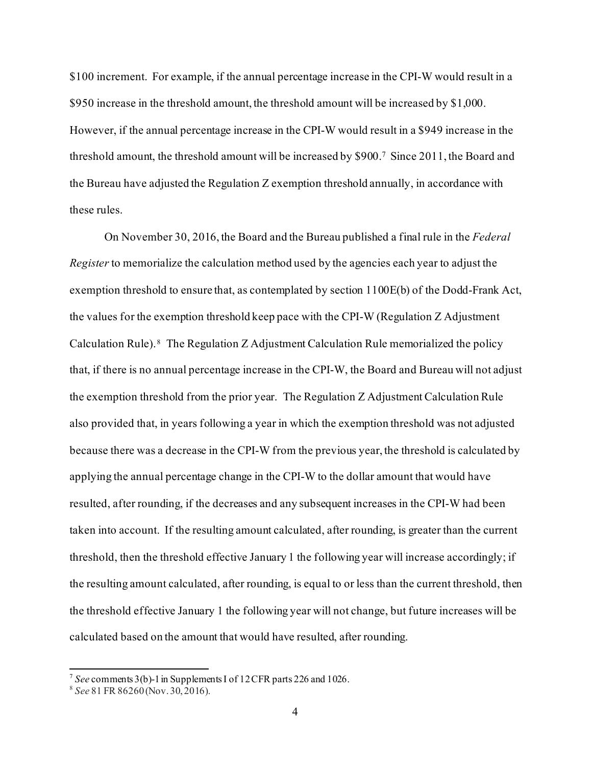\$100 increment. For example, if the annual percentage increase in the CPI-W would result in a \$950 increase in the threshold amount, the threshold amount will be increased by \$1,000. However, if the annual percentage increase in the CPI-W would result in a \$949 increase in the threshold amount, the threshold amount will be increased by \$900.[7](#page-3-0) Since 2011, the Board and the Bureau have adjusted the Regulation Z exemption threshold annually, in accordance with these rules.

On November 30, 2016, the Board and the Bureau published a final rule in the *Federal Register* to memorialize the calculation method used by the agencies each year to adjust the exemption threshold to ensure that, as contemplated by section 1100E(b) of the Dodd-Frank Act, the values for the exemption threshold keep pace with the CPI-W (Regulation Z Adjustment Calculation Rule). [8](#page-3-1) The Regulation Z Adjustment Calculation Rule memorialized the policy that, if there is no annual percentage increase in the CPI-W, the Board and Bureau will not adjust the exemption threshold from the prior year. The Regulation Z Adjustment Calculation Rule also provided that, in years following a year in which the exemption threshold was not adjusted because there was a decrease in the CPI-W from the previous year, the threshold is calculated by applying the annual percentage change in the CPI-W to the dollar amount that would have resulted, after rounding, if the decreases and any subsequent increases in the CPI-W had been taken into account. If the resulting amount calculated, after rounding, is greater than the current threshold, then the threshold effective January 1 the following year will increase accordingly; if the resulting amount calculated, after rounding, is equal to or less than the current threshold, then the threshold effective January 1 the following year will not change, but future increases will be calculated based on the amount that would have resulted, after rounding.

<span id="page-3-0"></span><sup>7</sup> *See* comments 3(b)-1 in Supplements I of 12 CFR parts 226 and 1026.

<span id="page-3-1"></span><sup>8</sup> *See* 81 FR 86260 (Nov. 30, 2016).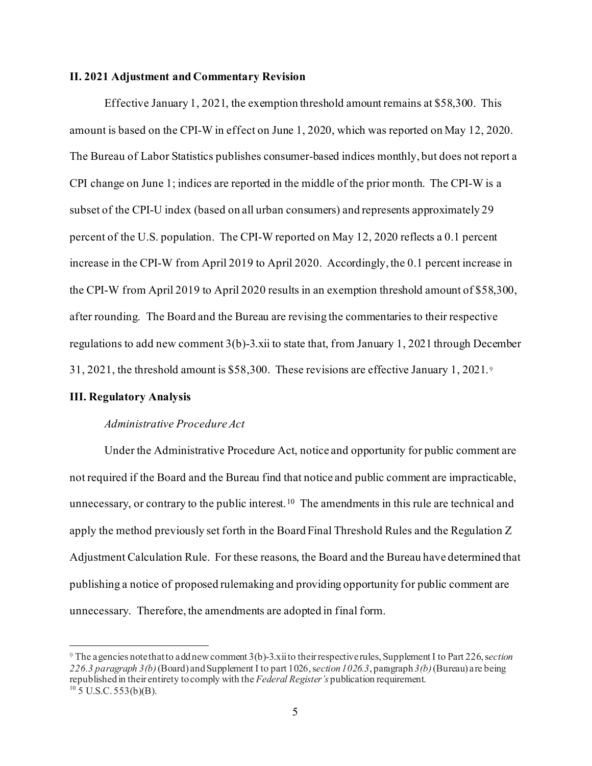### **II. 2021 Adjustment and Commentary Revision**

Effective January 1, 2021, the exemption threshold amount remains at \$58,300. This amount is based on the CPI-W in effect on June 1, 2020, which was reported on May 12, 2020. The Bureau of Labor Statistics publishes consumer-based indices monthly, but does not report a CPI change on June 1; indices are reported in the middle of the prior month. The CPI-W is a subset of the CPI-U index (based on all urban consumers) and represents approximately 29 percent of the U.S. population. The CPI-W reported on May 12, 2020 reflects a 0.1 percent increase in the CPI-W from April 2019 to April 2020. Accordingly, the 0.1 percent increase in the CPI-W from April 2019 to April 2020 results in an exemption threshold amount of \$58,300, after rounding. The Board and the Bureau are revising the commentaries to their respective regulations to add new comment  $3(b)$ -3.xii to state that, from January 1, 2021 through December 31, 2021, the threshold amount is \$58,300. These revisions are effective January 1, 2021. [9](#page-4-0)

## **III. Regulatory Analysis**

#### *Administrative Procedure Act*

Under the Administrative Procedure Act, notice and opportunity for public comment are not required if the Board and the Bureau find that notice and public comment are impracticable, unnecessary, or contrary to the public interest.<sup>10</sup> The amendments in this rule are technical and apply the method previously set forth in the Board Final Threshold Rules and the Regulation Z Adjustment Calculation Rule. For these reasons, the Board and the Bureau have determined that publishing a notice of proposed rulemaking and providing opportunity for public comment are unnecessary. Therefore, the amendments are adopted in final form.

<span id="page-4-1"></span><span id="page-4-0"></span><sup>9</sup> The agencies note that to add new comment 3(b)-3.xii to their respective rules, Supplement I to Part 226, s*ection 226.3 paragraph 3(b)* (Board) and Supplement I to part 1026, s*ection 1026.3*, paragraph *3(b)* (Bureau) are being republished in their entirety to comply with the *Federal Register's* publication requirement.  $10$  5 U.S.C. 553(b)(B).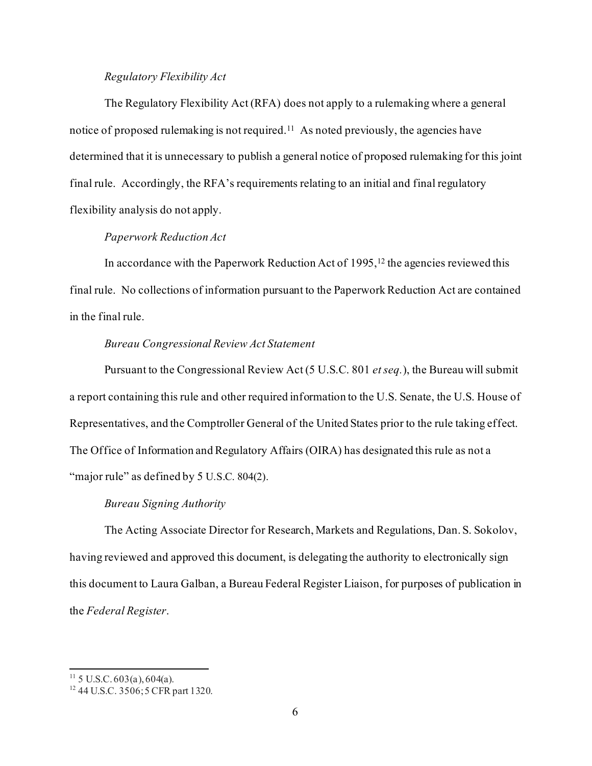## *Regulatory Flexibility Act*

The Regulatory Flexibility Act (RFA) does not apply to a rulemaking where a general notice of proposed rulemaking is not required.<sup>11</sup> As noted previously, the agencies have determined that it is unnecessary to publish a general notice of proposed rulemaking for this joint final rule. Accordingly, the RFA's requirements relating to an initial and final regulatory flexibility analysis do not apply.

# *Paperwork Reduction Act*

In accordance with the Paperwork Reduction Act of  $1995$ ,<sup>12</sup> the agencies reviewed this final rule. No collections of information pursuant to the Paperwork Reduction Act are contained in the final rule.

## *Bureau Congressional Review Act Statement*

Pursuant to the Congressional Review Act (5 U.S.C. 801 *et seq.*), the Bureau will submit a report containing this rule and other required information to the U.S. Senate, the U.S. House of Representatives, and the Comptroller General of the United States prior to the rule taking effect. The Office of Information and Regulatory Affairs (OIRA) has designated this rule as not a "major rule" as defined by 5 U.S.C. 804(2).

#### *Bureau Signing Authority*

The Acting Associate Director for Research, Markets and Regulations, Dan. S. Sokolov, having reviewed and approved this document, is delegating the authority to electronically sign this document to Laura Galban, a Bureau Federal Register Liaison, for purposes of publication in the *Federal Register*.

<span id="page-5-0"></span> $11\,$  5 U.S.C. 603(a), 604(a).

<span id="page-5-1"></span><sup>&</sup>lt;sup>12</sup> 44 U.S.C. 3506; 5 CFR part 1320.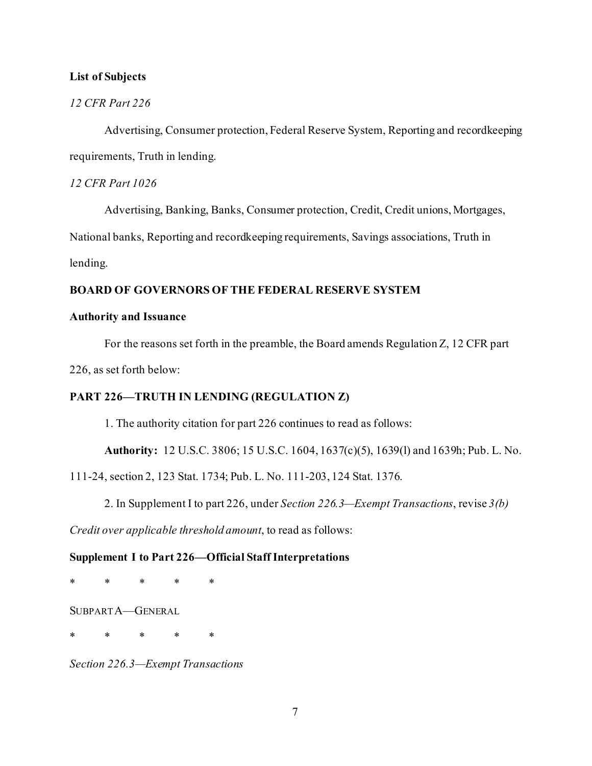## **List of Subjects**

## *12 CFR Part 226*

Advertising, Consumer protection, Federal Reserve System, Reporting and recordkeeping requirements, Truth in lending.

## *12 CFR Part 1026*

Advertising, Banking, Banks, Consumer protection, Credit, Credit unions, Mortgages,

National banks, Reporting and recordkeeping requirements, Savings associations, Truth in

lending.

## **BOARD OF GOVERNORS OF THE FEDERAL RESERVE SYSTEM**

## **Authority and Issuance**

For the reasons set forth in the preamble, the Board amends Regulation Z, 12 CFR part

226, as set forth below:

## **PART 226—TRUTH IN LENDING (REGULATION Z)**

1. The authority citation for part 226 continues to read as follows:

**Authority:** 12 U.S.C. 3806; 15 U.S.C. 1604, 1637(c)(5), 1639(l) and 1639h; Pub. L. No.

111-24, section 2, 123 Stat. 1734; Pub. L. No. 111-203, 124 Stat. 1376.

2. In Supplement I to part 226, under *Section 226.3—Exempt Transactions*, revise *3(b)* 

*Credit over applicable threshold amount*, to read as follows:

## **Supplement I to Part 226—Official Staff Interpretations**

\* \* \* \* \*

SUBPART A—GENERAL

\* \* \* \* \*

*Section 226.3—Exempt Transactions*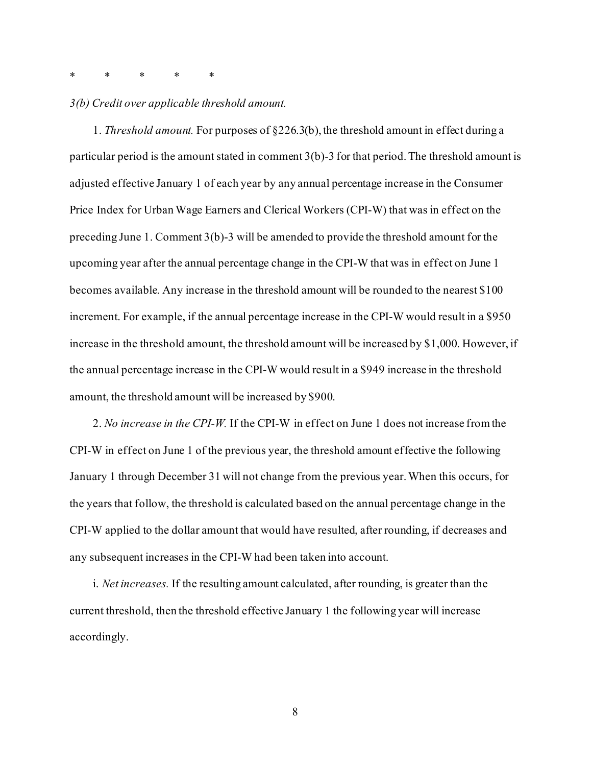## \* \* \* \* \*

### *3(b) Credit over applicable threshold amount.*

1. *Threshold amount.* For purposes of §226.3(b), the threshold amount in effect during a particular period is the amount stated in comment 3(b)-3 for that period. The threshold amount is adjusted effective January 1 of each year by any annual percentage increase in the Consumer Price Index for Urban Wage Earners and Clerical Workers (CPI-W) that was in effect on the preceding June 1. Comment 3(b)-3 will be amended to provide the threshold amount for the upcoming year after the annual percentage change in the CPI-W that was in effect on June 1 becomes available. Any increase in the threshold amount will be rounded to the nearest \$100 increment. For example, if the annual percentage increase in the CPI-W would result in a \$950 increase in the threshold amount, the threshold amount will be increased by \$1,000. However, if the annual percentage increase in the CPI-W would result in a \$949 increase in the threshold amount, the threshold amount will be increased by \$900.

2. *No increase in the CPI-W.* If the CPI-W in effect on June 1 does not increase from the CPI-W in effect on June 1 of the previous year, the threshold amount effective the following January 1 through December 31 will not change from the previous year. When this occurs, for the years that follow, the threshold is calculated based on the annual percentage change in the CPI-W applied to the dollar amount that would have resulted, after rounding, if decreases and any subsequent increases in the CPI-W had been taken into account.

i. *Net increases.* If the resulting amount calculated, after rounding, is greater than the current threshold, then the threshold effective January 1 the following year will increase accordingly.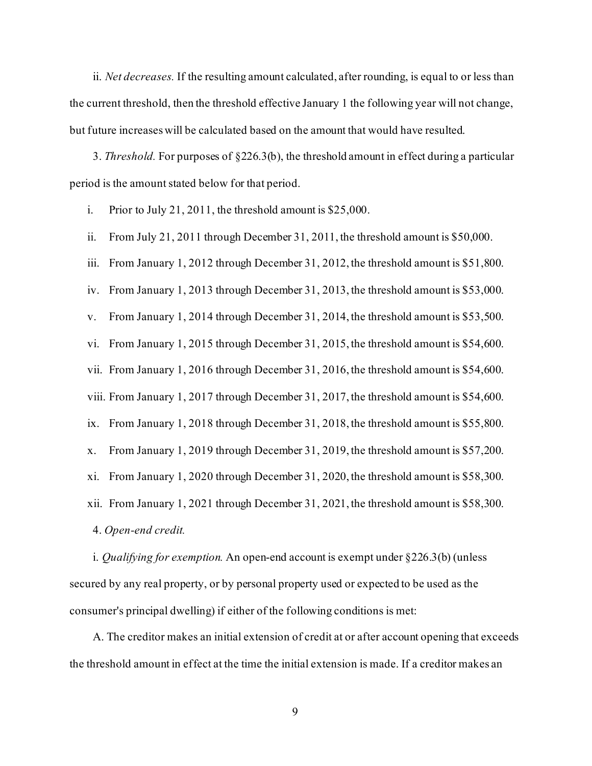ii. *Net decreases.* If the resulting amount calculated, after rounding, is equal to or less than the current threshold, then the threshold effective January 1 the following year will not change, but future increases will be calculated based on the amount that would have resulted.

3. *Threshold.* For purposes of §226.3(b), the threshold amount in effect during a particular period is the amount stated below for that period.

i. Prior to July 21, 2011, the threshold amount is \$25,000.

ii. From July 21, 2011 through December 31, 2011, the threshold amount is \$50,000.

iii. From January 1, 2012 through December 31, 2012, the threshold amount is \$51,800.

iv. From January 1, 2013 through December 31, 2013, the threshold amount is \$53,000.

v. From January 1, 2014 through December 31, 2014, the threshold amount is \$53,500.

vi. From January 1, 2015 through December 31, 2015, the threshold amount is \$54,600.

vii. From January 1, 2016 through December 31, 2016, the threshold amount is \$54,600.

viii. From January 1, 2017 through December 31, 2017, the threshold amount is \$54,600.

ix. From January 1, 2018 through December 31, 2018, the threshold amount is \$55,800.

x. From January 1, 2019 through December 31, 2019, the threshold amount is \$57,200.

xi. From January 1, 2020 through December 31, 2020, the threshold amount is \$58,300.

xii. From January 1, 2021 through December 31, 2021, the threshold amount is \$58,300.

4. *Open-end credit.*

i. *Qualifying for exemption.* An open-end account is exempt under §226.3(b) (unless secured by any real property, or by personal property used or expected to be used as the consumer's principal dwelling) if either of the following conditions is met:

A. The creditor makes an initial extension of credit at or after account opening that exceeds the threshold amount in effect at the time the initial extension is made. If a creditor makes an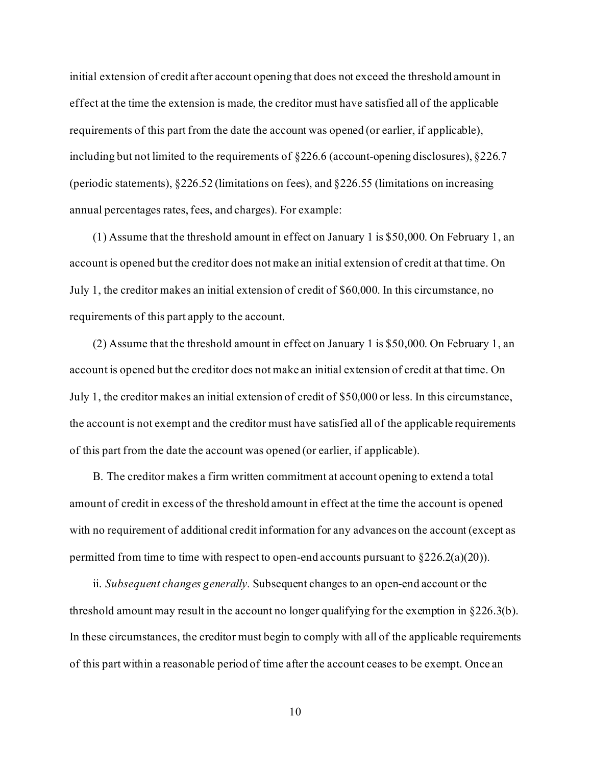initial extension of credit after account opening that does not exceed the threshold amount in effect at the time the extension is made, the creditor must have satisfied all of the applicable requirements of this part from the date the account was opened (or earlier, if applicable), including but not limited to the requirements of §226.6 (account-opening disclosures), §226.7 (periodic statements), §226.52 (limitations on fees), and §226.55 (limitations on increasing annual percentages rates, fees, and charges). For example:

(1) Assume that the threshold amount in effect on January 1 is \$50,000. On February 1, an account is opened but the creditor does not make an initial extension of credit at that time. On July 1, the creditor makes an initial extension of credit of \$60,000. In this circumstance, no requirements of this part apply to the account.

(2) Assume that the threshold amount in effect on January 1 is \$50,000. On February 1, an account is opened but the creditor does not make an initial extension of credit at that time. On July 1, the creditor makes an initial extension of credit of \$50,000 or less. In this circumstance, the account is not exempt and the creditor must have satisfied all of the applicable requirements of this part from the date the account was opened (or earlier, if applicable).

B. The creditor makes a firm written commitment at account opening to extend a total amount of credit in excess of the threshold amount in effect at the time the account is opened with no requirement of additional credit information for any advances on the account (except as permitted from time to time with respect to open-end accounts pursuant to  $\S 226.2(a)(20)$ .

ii. *Subsequent changes generally.* Subsequent changes to an open-end account or the threshold amount may result in the account no longer qualifying for the exemption in  $\S 226.3(b)$ . In these circumstances, the creditor must begin to comply with all of the applicable requirements of this part within a reasonable period of time after the account ceases to be exempt. Once an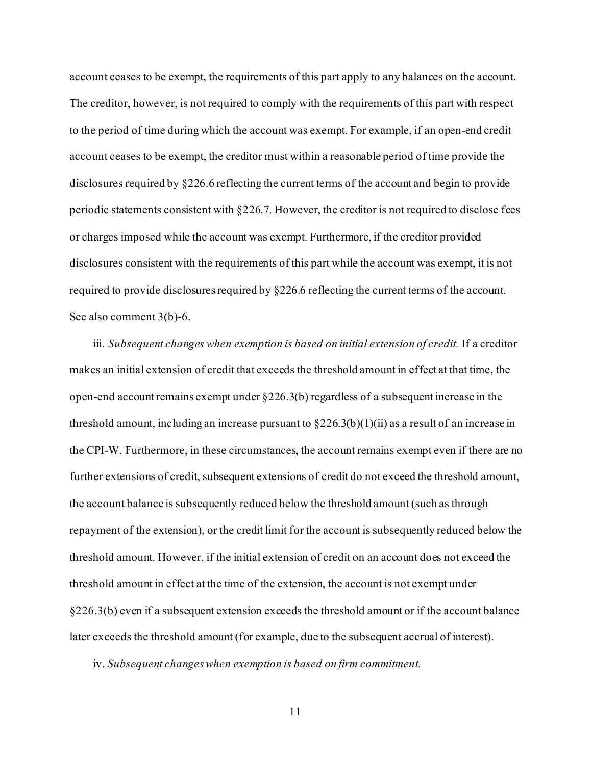account ceases to be exempt, the requirements of this part apply to any balances on the account. The creditor, however, is not required to comply with the requirements of this part with respect to the period of time during which the account was exempt. For example, if an open-end credit account ceases to be exempt, the creditor must within a reasonable period of time provide the disclosures required by §226.6 reflecting the current terms of the account and begin to provide periodic statements consistent with §226.7. However, the creditor is not required to disclose fees or charges imposed while the account was exempt. Furthermore, if the creditor provided disclosures consistent with the requirements of this part while the account was exempt, it is not required to provide disclosures required by §226.6 reflecting the current terms of the account. See also comment 3(b)-6.

iii. *Subsequent changes when exemption is based on initial extension of credit.* If a creditor makes an initial extension of credit that exceeds the threshold amount in effect at that time, the open-end account remains exempt under §226.3(b) regardless of a subsequent increase in the threshold amount, including an increase pursuant to  $\S 226.3(b)(1)(ii)$  as a result of an increase in the CPI-W. Furthermore, in these circumstances, the account remains exempt even if there are no further extensions of credit, subsequent extensions of credit do not exceed the threshold amount, the account balance is subsequently reduced below the threshold amount (such as through repayment of the extension), or the credit limit for the account is subsequently reduced below the threshold amount. However, if the initial extension of credit on an account does not exceed the threshold amount in effect at the time of the extension, the account is not exempt under §226.3(b) even if a subsequent extension exceeds the threshold amount or if the account balance later exceeds the threshold amount (for example, due to the subsequent accrual of interest).

iv. *Subsequent changes when exemption is based on firm commitment.*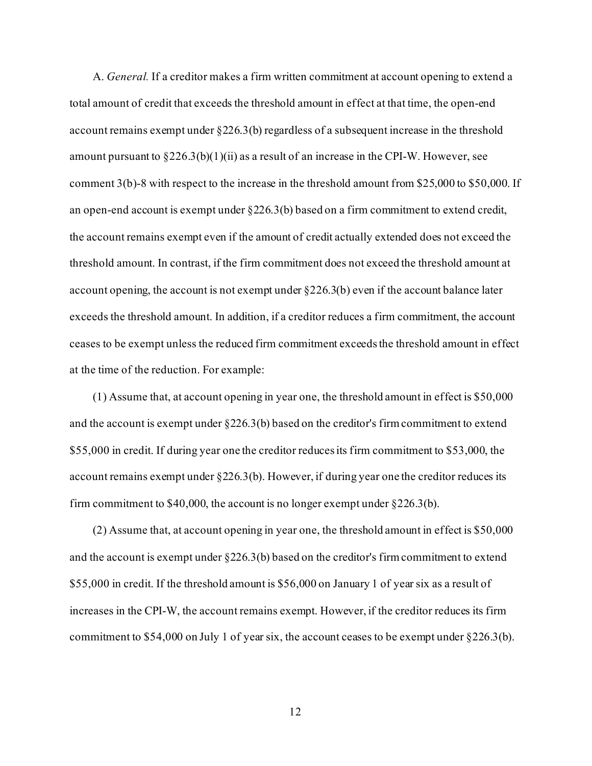A. *General.* If a creditor makes a firm written commitment at account opening to extend a total amount of credit that exceeds the threshold amount in effect at that time, the open-end account remains exempt under  $\S 226.3(b)$  regardless of a subsequent increase in the threshold amount pursuant to  $\S 226.3(b)(1)(ii)$  as a result of an increase in the CPI-W. However, see comment 3(b)-8 with respect to the increase in the threshold amount from \$25,000 to \$50,000. If an open-end account is exempt under  $\S 226.3(b)$  based on a firm commitment to extend credit, the account remains exempt even if the amount of credit actually extended does not exceed the threshold amount. In contrast, if the firm commitment does not exceed the threshold amount at account opening, the account is not exempt under  $\S 226.3(b)$  even if the account balance later exceeds the threshold amount. In addition, if a creditor reduces a firm commitment, the account ceases to be exempt unless the reduced firm commitment exceeds the threshold amount in effect at the time of the reduction. For example:

(1) Assume that, at account opening in year one, the threshold amount in effect is \$50,000 and the account is exempt under §226.3(b) based on the creditor's firm commitment to extend \$55,000 in credit. If during year one the creditor reduces its firm commitment to \$53,000, the account remains exempt under  $\S 226.3(b)$ . However, if during year one the creditor reduces its firm commitment to \$40,000, the account is no longer exempt under §226.3(b).

(2) Assume that, at account opening in year one, the threshold amount in effect is \$50,000 and the account is exempt under §226.3(b) based on the creditor's firm commitment to extend \$55,000 in credit. If the threshold amount is \$56,000 on January 1 of year six as a result of increases in the CPI-W, the account remains exempt. However, if the creditor reduces its firm commitment to \$54,000 on July 1 of year six, the account ceases to be exempt under §226.3(b).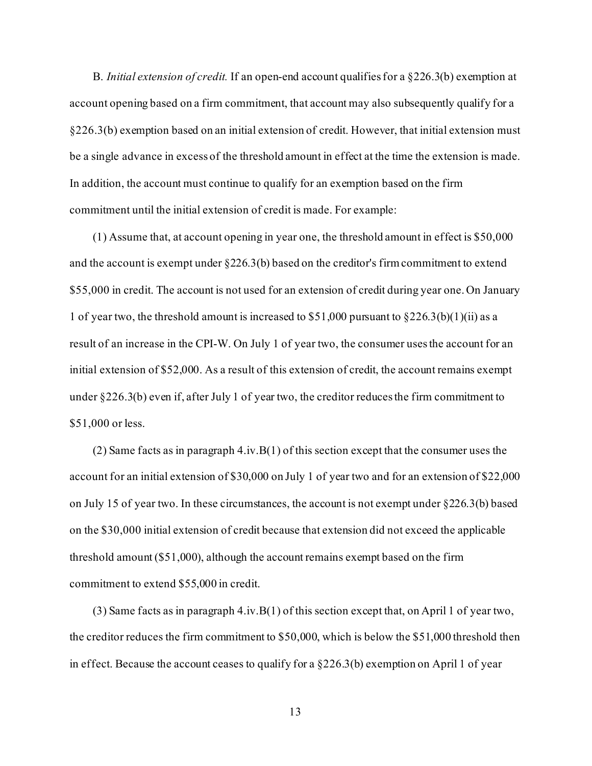B. *Initial extension of credit.* If an open-end account qualifies for a §226.3(b) exemption at account opening based on a firm commitment, that account may also subsequently qualify for a §226.3(b) exemption based on an initial extension of credit. However, that initial extension must be a single advance in excess of the threshold amount in effect at the time the extension is made. In addition, the account must continue to qualify for an exemption based on the firm commitment until the initial extension of credit is made. For example:

(1) Assume that, at account opening in year one, the threshold amount in effect is \$50,000 and the account is exempt under §226.3(b) based on the creditor's firm commitment to extend \$55,000 in credit. The account is not used for an extension of credit during year one. On January 1 of year two, the threshold amount is increased to \$51,000 pursuant to  $\S 226.3(b)(1)(ii)$  as a result of an increase in the CPI-W. On July 1 of year two, the consumer uses the account for an initial extension of \$52,000. As a result of this extension of credit, the account remains exempt under §226.3(b) even if, after July 1 of year two, the creditor reduces the firm commitment to \$51,000 or less.

(2) Same facts as in paragraph  $4.i\nu.B(1)$  of this section except that the consumer uses the account for an initial extension of \$30,000 on July 1 of year two and for an extension of \$22,000 on July 15 of year two. In these circumstances, the account is not exempt under §226.3(b) based on the \$30,000 initial extension of credit because that extension did not exceed the applicable threshold amount (\$51,000), although the account remains exempt based on the firm commitment to extend \$55,000 in credit.

(3) Same facts as in paragraph 4.iv.B(1) of this section except that, on April 1 of year two, the creditor reduces the firm commitment to \$50,000, which is below the \$51,000 threshold then in effect. Because the account ceases to qualify for a §226.3(b) exemption on April 1 of year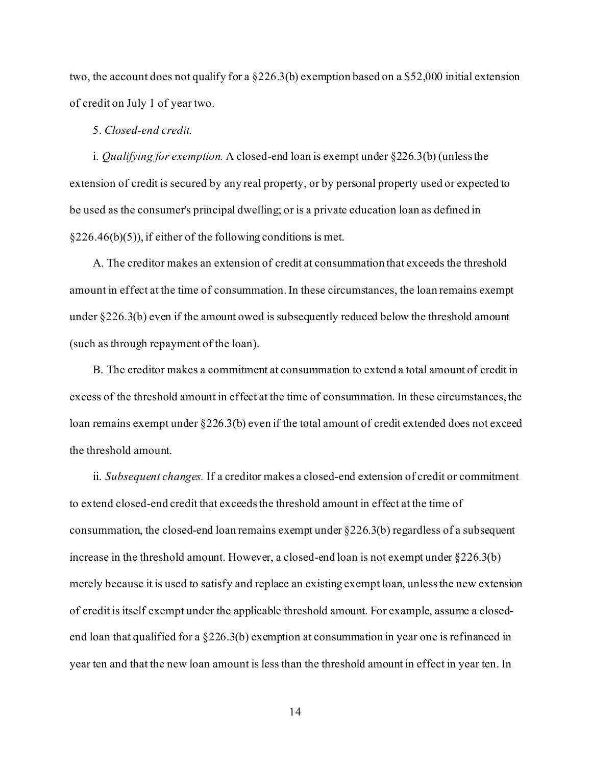two, the account does not qualify for a §226.3(b) exemption based on a \$52,000 initial extension of credit on July 1 of year two.

## 5. *Closed-end credit.*

i. *Qualifying for exemption.* A closed-end loan is exempt under §226.3(b) (unless the extension of credit is secured by any real property, or by personal property used or expected to be used as the consumer's principal dwelling; or is a private education loan as defined in  $§226.46(b)(5)$ , if either of the following conditions is met.

A. The creditor makes an extension of credit at consummation that exceeds the threshold amount in effect at the time of consummation. In these circumstances, the loan remains exempt under §226.3(b) even if the amount owed is subsequently reduced below the threshold amount (such as through repayment of the loan).

B. The creditor makes a commitment at consummation to extend a total amount of credit in excess of the threshold amount in effect at the time of consummation. In these circumstances, the loan remains exempt under §226.3(b) even if the total amount of credit extended does not exceed the threshold amount.

ii. *Subsequent changes.* If a creditor makes a closed-end extension of credit or commitment to extend closed-end credit that exceeds the threshold amount in effect at the time of consummation, the closed-end loan remains exempt under §226.3(b) regardless of a subsequent increase in the threshold amount. However, a closed-end loan is not exempt under §226.3(b) merely because it is used to satisfy and replace an existing exempt loan, unless the new extension of credit is itself exempt under the applicable threshold amount. For example, assume a closedend loan that qualified for a §226.3(b) exemption at consummation in year one is refinanced in year ten and that the new loan amount is less than the threshold amount in effect in year ten. In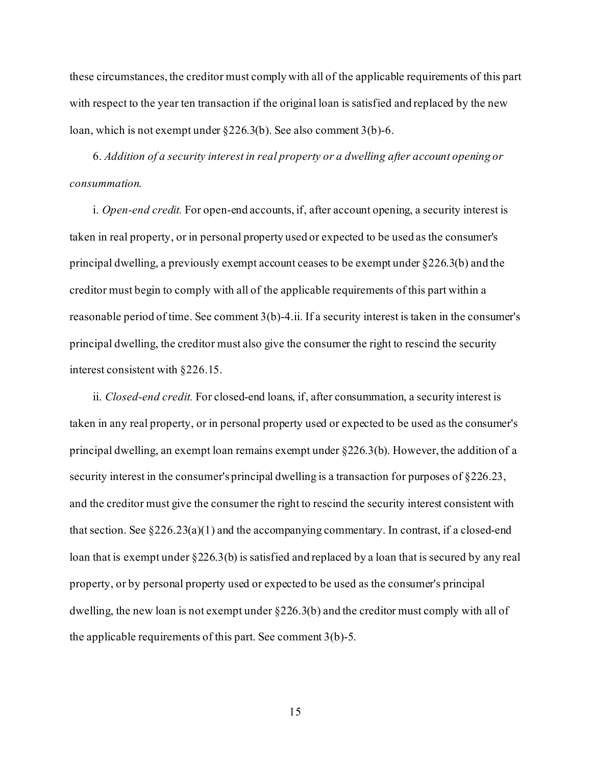these circumstances, the creditor must comply with all of the applicable requirements of this part with respect to the year ten transaction if the original loan is satisfied and replaced by the new loan, which is not exempt under §226.3(b). See also comment 3(b)-6.

6. *Addition of a security interest in real property or a dwelling after account opening or consummation.*

i. *Open-end credit.* For open-end accounts, if, after account opening, a security interest is taken in real property, or in personal property used or expected to be used as the consumer's principal dwelling, a previously exempt account ceases to be exempt under §226.3(b) and the creditor must begin to comply with all of the applicable requirements of this part within a reasonable period of time. See comment 3(b)-4.ii. If a security interest is taken in the consumer's principal dwelling, the creditor must also give the consumer the right to rescind the security interest consistent with §226.15.

ii. *Closed-end credit.* For closed-end loans, if, after consummation, a security interest is taken in any real property, or in personal property used or expected to be used as the consumer's principal dwelling, an exempt loan remains exempt under §226.3(b). However, the addition of a security interest in the consumer's principal dwelling is a transaction for purposes of §226.23, and the creditor must give the consumer the right to rescind the security interest consistent with that section. See  $\S 226.23(a)(1)$  and the accompanying commentary. In contrast, if a closed-end loan that is exempt under §226.3(b) is satisfied and replaced by a loan that is secured by any real property, or by personal property used or expected to be used as the consumer's principal dwelling, the new loan is not exempt under §226.3(b) and the creditor must comply with all of the applicable requirements of this part. See comment 3(b)-5.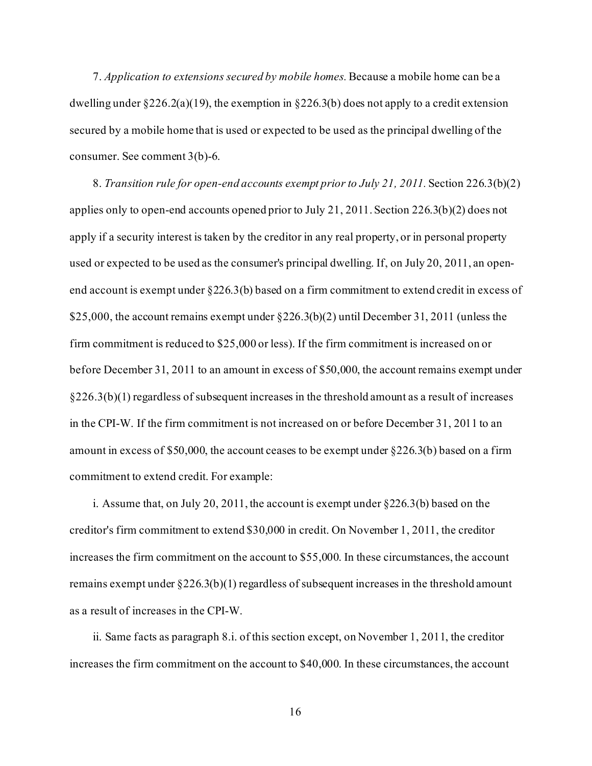7. *Application to extensions secured by mobile homes.*Because a mobile home can be a dwelling under  $\S 226.2(a)(19)$ , the exemption in  $\S 226.3(b)$  does not apply to a credit extension secured by a mobile home that is used or expected to be used as the principal dwelling of the consumer. See comment 3(b)-6.

8. *Transition rule for open-end accounts exempt prior to July 21, 2011.* Section 226.3(b)(2) applies only to open-end accounts opened prior to July 21, 2011. Section 226.3(b)(2) does not apply if a security interest is taken by the creditor in any real property, or in personal property used or expected to be used as the consumer's principal dwelling. If, on July 20, 2011, an openend account is exempt under §226.3(b) based on a firm commitment to extend credit in excess of \$25,000, the account remains exempt under §226.3(b)(2) until December 31, 2011 (unless the firm commitment is reduced to \$25,000 or less). If the firm commitment is increased on or before December 31, 2011 to an amount in excess of \$50,000, the account remains exempt under  $\S226.3(b)(1)$  regardless of subsequent increases in the threshold amount as a result of increases in the CPI-W. If the firm commitment is not increased on or before December 31, 2011 to an amount in excess of \$50,000, the account ceases to be exempt under  $\S 226.3(b)$  based on a firm commitment to extend credit. For example:

i. Assume that, on July 20, 2011, the account is exempt under §226.3(b) based on the creditor's firm commitment to extend \$30,000 in credit. On November 1, 2011, the creditor increases the firm commitment on the account to \$55,000. In these circumstances, the account remains exempt under §226.3(b)(1) regardless of subsequent increases in the threshold amount as a result of increases in the CPI-W.

ii. Same facts as paragraph 8.i. of this section except, on November 1, 2011, the creditor increases the firm commitment on the account to \$40,000. In these circumstances, the account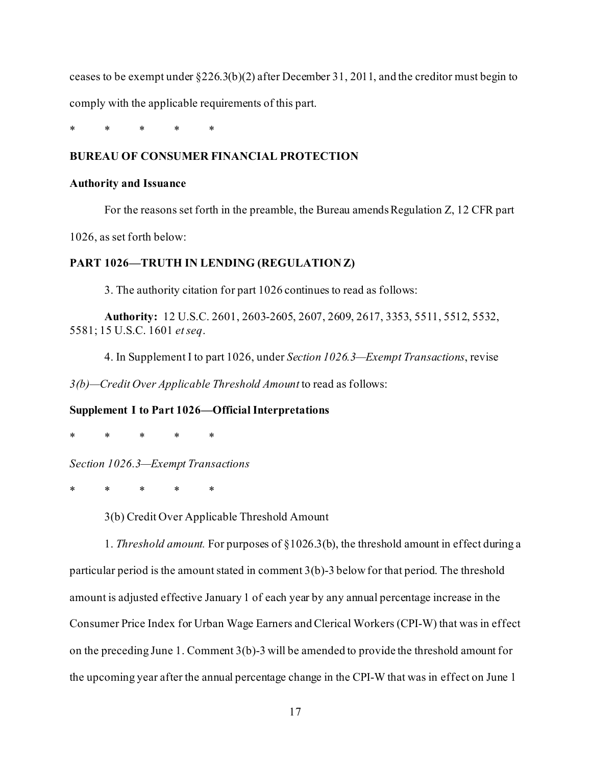ceases to be exempt under  $\S 226.3(b)(2)$  after December 31, 2011, and the creditor must begin to comply with the applicable requirements of this part.

\* \* \* \* \*

# **BUREAU OF CONSUMER FINANCIAL PROTECTION**

#### **Authority and Issuance**

For the reasons set forth in the preamble, the Bureau amends Regulation  $Z$ , 12 CFR part

1026, as set forth below:

### **PART 1026—TRUTH IN LENDING (REGULATION Z)**

3. The authority citation for part 1026 continues to read as follows:

**Authority:** 12 U.S.C. 2601, 2603-2605, 2607, 2609, 2617, 3353, 5511, 5512, 5532, 5581; 15 U.S.C. 1601 *et seq*.

4. In Supplement I to part 1026, under *Section 1026.3—Exempt Transactions*, revise

*3(b)—Credit Over Applicable Threshold Amount* to read as follows:

#### **Supplement I to Part 1026—Official Interpretations**

\* \* \* \* \*

*Section 1026.3—Exempt Transactions*

\* \* \* \* \*

3(b) Credit Over Applicable Threshold Amount

1. *Threshold amount.* For purposes of §1026.3(b), the threshold amount in effect during a particular period is the amount stated in comment 3(b)-3 below for that period. The threshold amount is adjusted effective January 1 of each year by any annual percentage increase in the Consumer Price Index for Urban Wage Earners and Clerical Workers (CPI-W) that was in effect on the preceding June 1. Comment 3(b)-3 will be amended to provide the threshold amount for the upcoming year after the annual percentage change in the CPI-W that was in effect on June 1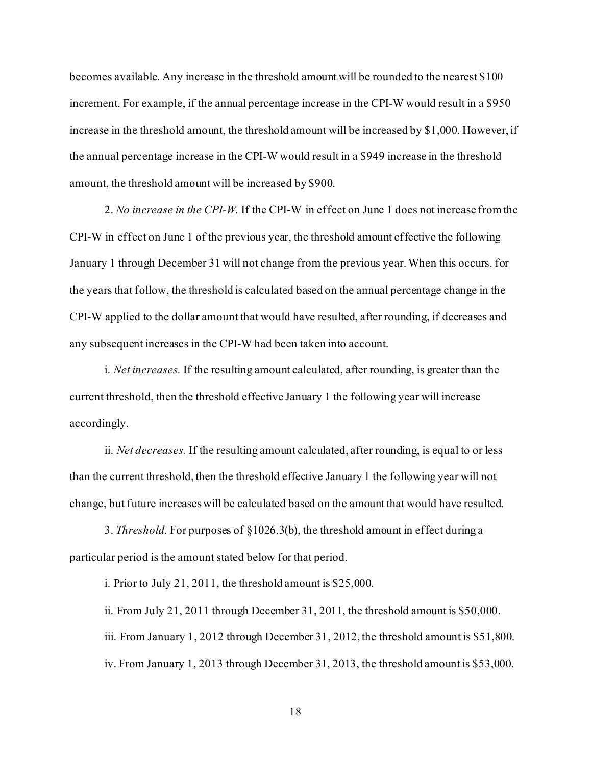becomes available. Any increase in the threshold amount will be rounded to the nearest \$100 increment. For example, if the annual percentage increase in the CPI-W would result in a \$950 increase in the threshold amount, the threshold amount will be increased by \$1,000. However, if the annual percentage increase in the CPI-W would result in a \$949 increase in the threshold amount, the threshold amount will be increased by \$900.

2. *No increase in the CPI-W.* If the CPI-W in effect on June 1 does not increase from the CPI-W in effect on June 1 of the previous year, the threshold amount effective the following January 1 through December 31 will not change from the previous year. When this occurs, for the years that follow, the threshold is calculated based on the annual percentage change in the CPI-W applied to the dollar amount that would have resulted, after rounding, if decreases and any subsequent increases in the CPI-W had been taken into account.

i. *Net increases.* If the resulting amount calculated, after rounding, is greater than the current threshold, then the threshold effective January 1 the following year will increase accordingly.

ii. *Net decreases.* If the resulting amount calculated, after rounding, is equal to or less than the current threshold, then the threshold effective January 1 the following year will not change, but future increases will be calculated based on the amount that would have resulted.

3. *Threshold.* For purposes of §1026.3(b), the threshold amount in effect during a particular period is the amount stated below for that period.

i. Prior to July 21, 2011, the threshold amount is \$25,000.

ii. From July 21, 2011 through December 31, 2011, the threshold amount is \$50,000. iii. From January 1, 2012 through December 31, 2012, the threshold amount is \$51,800. iv. From January 1, 2013 through December 31, 2013, the threshold amount is \$53,000.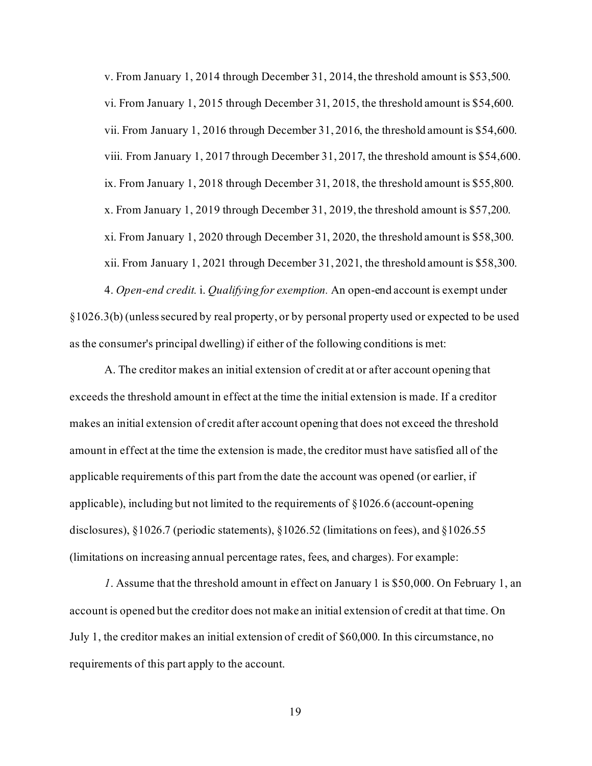v. From January 1, 2014 through December 31, 2014, the threshold amount is \$53,500. vi. From January 1, 2015 through December 31, 2015, the threshold amount is \$54,600. vii. From January 1, 2016 through December 31, 2016, the threshold amount is \$54,600. viii. From January 1, 2017 through December 31, 2017, the threshold amount is \$54,600. ix. From January 1, 2018 through December 31, 2018, the threshold amount is \$55,800. x. From January 1, 2019 through December 31, 2019, the threshold amount is \$57,200. xi. From January 1, 2020 through December 31, 2020, the threshold amount is \$58,300. xii. From January 1, 2021 through December 31, 2021, the threshold amount is \$58,300.

4. *Open-end credit.* i. *Qualifying for exemption.* An open-end account is exempt under §1026.3(b) (unless secured by real property, or by personal property used or expected to be used as the consumer's principal dwelling) if either of the following conditions is met:

A. The creditor makes an initial extension of credit at or after account opening that exceeds the threshold amount in effect at the time the initial extension is made. If a creditor makes an initial extension of credit after account opening that does not exceed the threshold amount in effect at the time the extension is made, the creditor must have satisfied all of the applicable requirements of this part from the date the account was opened (or earlier, if applicable), including but not limited to the requirements of §1026.6 (account-opening disclosures), §1026.7 (periodic statements), §1026.52 (limitations on fees), and §1026.55 (limitations on increasing annual percentage rates, fees, and charges). For example:

*1*. Assume that the threshold amount in effect on January 1 is \$50,000. On February 1, an account is opened but the creditor does not make an initial extension of credit at that time. On July 1, the creditor makes an initial extension of credit of \$60,000. In this circumstance, no requirements of this part apply to the account.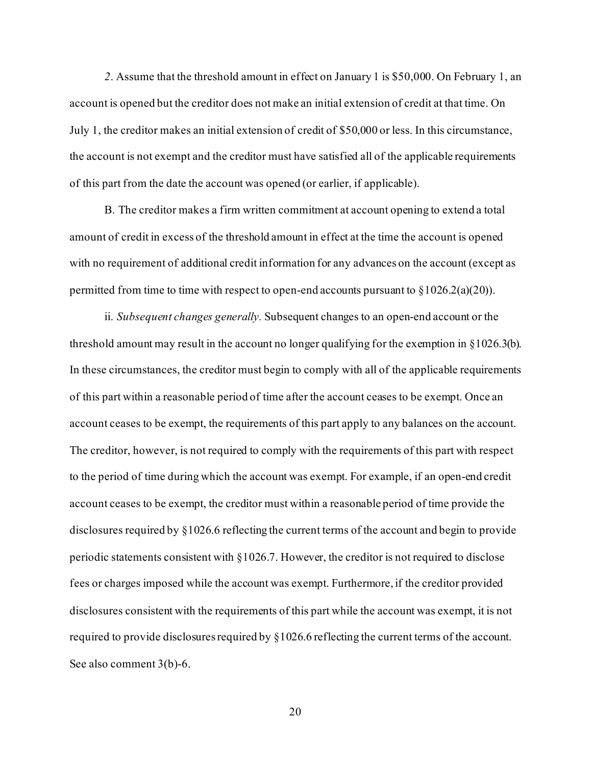*2*. Assume that the threshold amount in effect on January 1 is \$50,000. On February 1, an account is opened but the creditor does not make an initial extension of credit at that time. On July 1, the creditor makes an initial extension of credit of \$50,000 or less. In this circumstance, the account is not exempt and the creditor must have satisfied all of the applicable requirements of this part from the date the account was opened (or earlier, if applicable).

B. The creditor makes a firm written commitment at account opening to extend a total amount of credit in excess of the threshold amount in effect at the time the account is opened with no requirement of additional credit information for any advances on the account (except as permitted from time to time with respect to open-end accounts pursuant to  $\S 1026.2(a)(20)$ .

ii. *Subsequent changes generally.* Subsequent changes to an open-end account or the threshold amount may result in the account no longer qualifying for the exemption in §1026.3(b). In these circumstances, the creditor must begin to comply with all of the applicable requirements of this part within a reasonable period of time after the account ceases to be exempt. Once an account ceases to be exempt, the requirements of this part apply to any balances on the account. The creditor, however, is not required to comply with the requirements of this part with respect to the period of time during which the account was exempt. For example, if an open-end credit account ceases to be exempt, the creditor must within a reasonable period of time provide the disclosures required by §1026.6 reflecting the current terms of the account and begin to provide periodic statements consistent with §1026.7. However, the creditor is not required to disclose fees or charges imposed while the account was exempt. Furthermore, if the creditor provided disclosures consistent with the requirements of this part while the account was exempt, it is not required to provide disclosures required by §1026.6 reflecting the current terms of the account. See also comment 3(b)-6.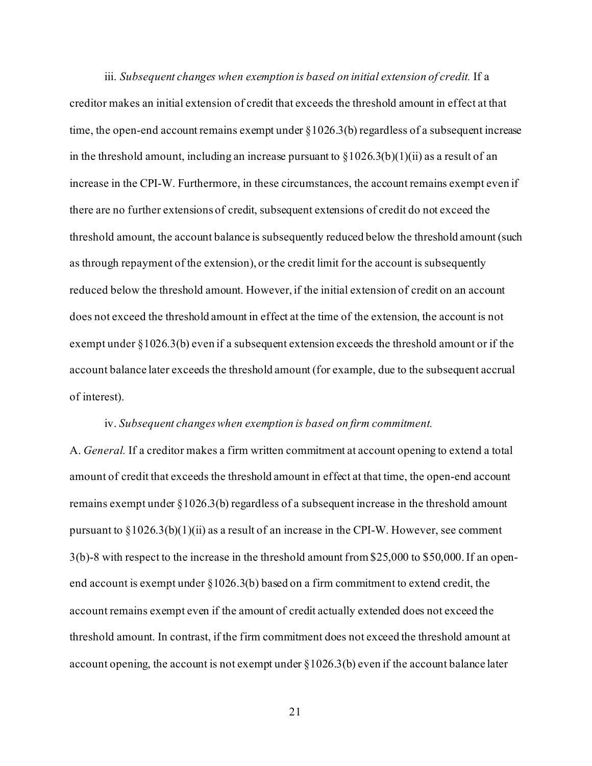iii. *Subsequent changes when exemption is based on initial extension of credit.* If a creditor makes an initial extension of credit that exceeds the threshold amount in effect at that time, the open-end account remains exempt under  $\S 1026.3(b)$  regardless of a subsequent increase in the threshold amount, including an increase pursuant to  $\S 1026.3(b)(1)(ii)$  as a result of an increase in the CPI-W. Furthermore, in these circumstances, the account remains exempt even if there are no further extensions of credit, subsequent extensions of credit do not exceed the threshold amount, the account balance is subsequently reduced below the threshold amount (such as through repayment of the extension), or the credit limit for the account is subsequently reduced below the threshold amount. However, if the initial extension of credit on an account does not exceed the threshold amount in effect at the time of the extension, the account is not exempt under §1026.3(b) even if a subsequent extension exceeds the threshold amount or if the account balance later exceeds the threshold amount (for example, due to the subsequent accrual of interest).

#### iv. *Subsequent changes when exemption is based on firm commitment.*

A. *General.* If a creditor makes a firm written commitment at account opening to extend a total amount of credit that exceeds the threshold amount in effect at that time, the open-end account remains exempt under §1026.3(b) regardless of a subsequent increase in the threshold amount pursuant to  $\S 1026.3(b)(1)(ii)$  as a result of an increase in the CPI-W. However, see comment 3(b)-8 with respect to the increase in the threshold amount from \$25,000 to \$50,000. If an openend account is exempt under  $\S 1026.3(b)$  based on a firm commitment to extend credit, the account remains exempt even if the amount of credit actually extended does not exceed the threshold amount. In contrast, if the firm commitment does not exceed the threshold amount at account opening, the account is not exempt under §1026.3(b) even if the account balance later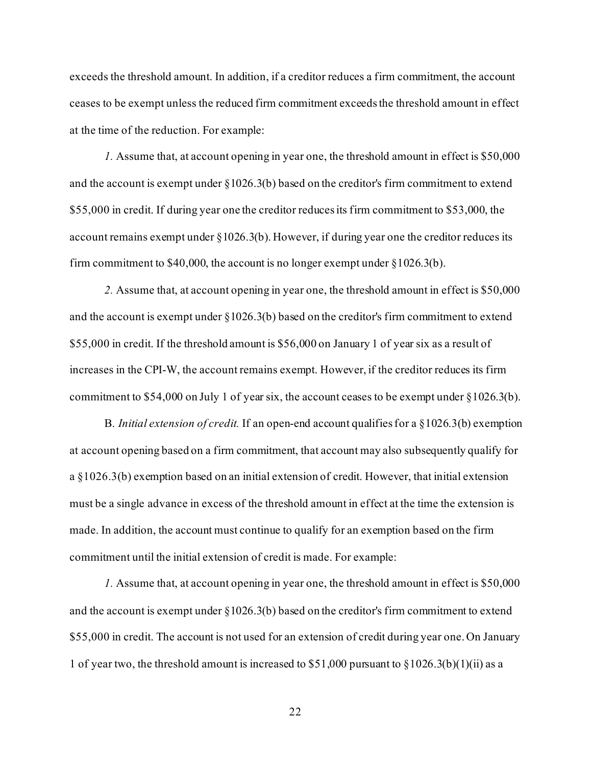exceeds the threshold amount. In addition, if a creditor reduces a firm commitment, the account ceases to be exempt unless the reduced firm commitment exceeds the threshold amount in effect at the time of the reduction. For example:

*1.* Assume that, at account opening in year one, the threshold amount in effect is \$50,000 and the account is exempt under §1026.3(b) based on the creditor's firm commitment to extend \$55,000 in credit. If during year one the creditor reduces its firm commitment to \$53,000, the account remains exempt under §1026.3(b). However, if during year one the creditor reduces its firm commitment to \$40,000, the account is no longer exempt under  $\S 1026.3(b)$ .

*2.* Assume that, at account opening in year one, the threshold amount in effect is \$50,000 and the account is exempt under  $\S 1026.3(b)$  based on the creditor's firm commitment to extend \$55,000 in credit. If the threshold amount is \$56,000 on January 1 of year six as a result of increases in the CPI-W, the account remains exempt. However, if the creditor reduces its firm commitment to \$54,000 on July 1 of year six, the account ceases to be exempt under §1026.3(b).

B. *Initial extension of credit.* If an open-end account qualifies for a §1026.3(b) exemption at account opening based on a firm commitment, that account may also subsequently qualify for a §1026.3(b) exemption based on an initial extension of credit. However, that initial extension must be a single advance in excess of the threshold amount in effect at the time the extension is made. In addition, the account must continue to qualify for an exemption based on the firm commitment until the initial extension of credit is made. For example:

*1.* Assume that, at account opening in year one, the threshold amount in effect is \$50,000 and the account is exempt under  $\S 1026.3(b)$  based on the creditor's firm commitment to extend \$55,000 in credit. The account is not used for an extension of credit during year one. On January 1 of year two, the threshold amount is increased to \$51,000 pursuant to  $\S 1026.3(b)(1)(ii)$  as a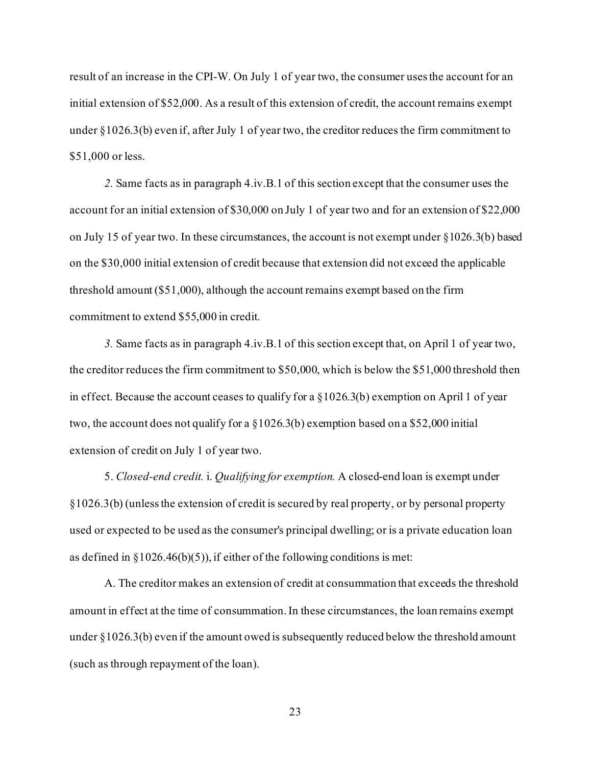result of an increase in the CPI-W. On July 1 of year two, the consumer uses the account for an initial extension of \$52,000. As a result of this extension of credit, the account remains exempt under §1026.3(b) even if, after July 1 of year two, the creditor reduces the firm commitment to \$51,000 or less.

*2.* Same facts as in paragraph 4.iv.B.1 of this section except that the consumer uses the account for an initial extension of \$30,000 on July 1 of year two and for an extension of \$22,000 on July 15 of year two. In these circumstances, the account is not exempt under  $\S 1026.3(b)$  based on the \$30,000 initial extension of credit because that extension did not exceed the applicable threshold amount (\$51,000), although the account remains exempt based on the firm commitment to extend \$55,000 in credit.

*3.* Same facts as in paragraph 4.iv.B.1 of this section except that, on April 1 of year two, the creditor reduces the firm commitment to \$50,000, which is below the \$51,000 threshold then in effect. Because the account ceases to qualify for a §1026.3(b) exemption on April 1 of year two, the account does not qualify for a §1026.3(b) exemption based on a \$52,000 initial extension of credit on July 1 of year two.

5. *Closed-end credit.* i. *Qualifying for exemption.* A closed-end loan is exempt under §1026.3(b) (unless the extension of credit is secured by real property, or by personal property used or expected to be used as the consumer's principal dwelling; or is a private education loan as defined in  $\S 1026.46(b)(5)$ , if either of the following conditions is met:

A. The creditor makes an extension of credit at consummation that exceeds the threshold amount in effect at the time of consummation. In these circumstances, the loan remains exempt under §1026.3(b) even if the amount owed is subsequently reduced below the threshold amount (such as through repayment of the loan).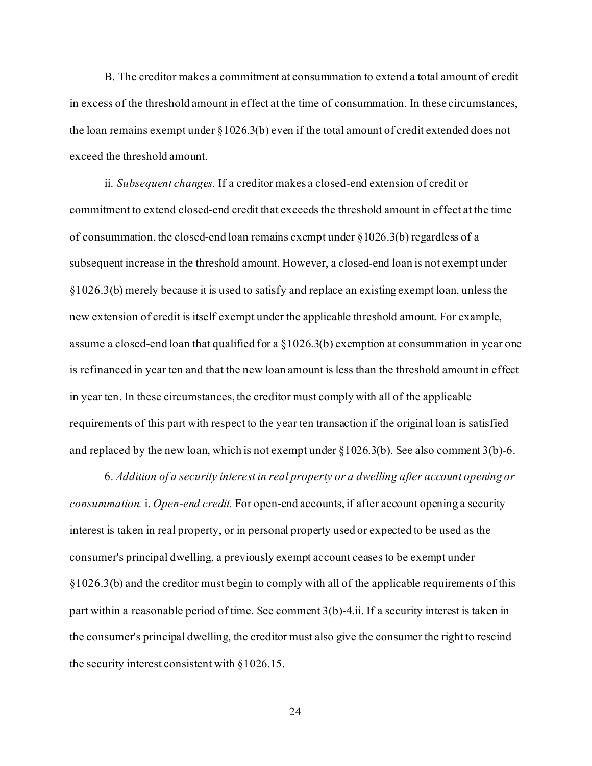B. The creditor makes a commitment at consummation to extend a total amount of credit in excess of the threshold amount in effect at the time of consummation. In these circumstances, the loan remains exempt under §1026.3(b) even if the total amount of credit extended does not exceed the threshold amount.

ii. *Subsequent changes.* If a creditor makes a closed-end extension of credit or commitment to extend closed-end credit that exceeds the threshold amount in effect at the time of consummation, the closed-end loan remains exempt under §1026.3(b) regardless of a subsequent increase in the threshold amount. However, a closed-end loan is not exempt under §1026.3(b) merely because it is used to satisfy and replace an existing exempt loan, unless the new extension of credit is itself exempt under the applicable threshold amount. For example, assume a closed-end loan that qualified for a §1026.3(b) exemption at consummation in year one is refinanced in year ten and that the new loan amount is less than the threshold amount in effect in year ten. In these circumstances, the creditor must comply with all of the applicable requirements of this part with respect to the year ten transaction if the original loan is satisfied and replaced by the new loan, which is not exempt under  $\S 1026.3(b)$ . See also comment 3(b)-6.

6. *Addition of a security interest in real property or a dwelling after account opening or consummation.* i. *Open-end credit.* For open-end accounts, if after account opening a security interest is taken in real property, or in personal property used or expected to be used as the consumer's principal dwelling, a previously exempt account ceases to be exempt under §1026.3(b) and the creditor must begin to comply with all of the applicable requirements of this part within a reasonable period of time. See comment 3(b)-4.ii. If a security interest is taken in the consumer's principal dwelling, the creditor must also give the consumer the right to rescind the security interest consistent with §1026.15.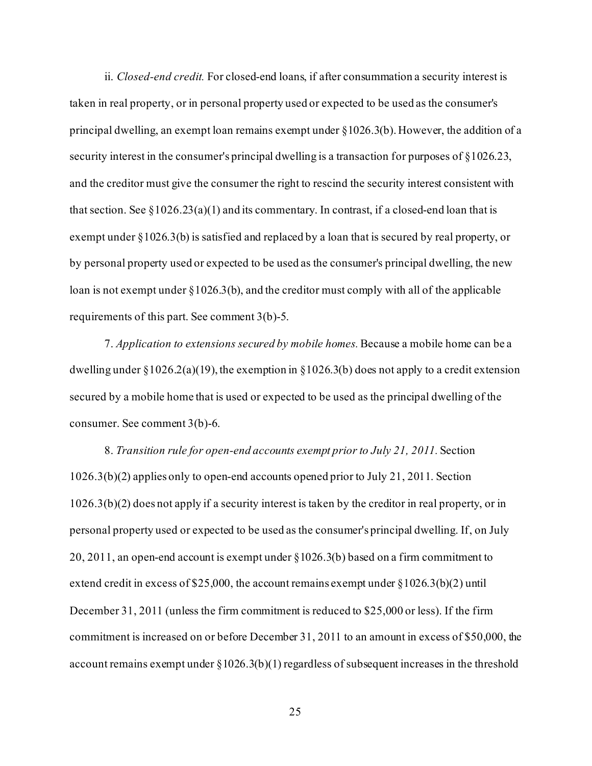ii. *Closed-end credit.* For closed-end loans, if after consummation a security interest is taken in real property, or in personal property used or expected to be used as the consumer's principal dwelling, an exempt loan remains exempt under §1026.3(b). However, the addition of a security interest in the consumer's principal dwelling is a transaction for purposes of §1026.23, and the creditor must give the consumer the right to rescind the security interest consistent with that section. See  $\S 1026.23(a)(1)$  and its commentary. In contrast, if a closed-end loan that is exempt under §1026.3(b) is satisfied and replaced by a loan that is secured by real property, or by personal property used or expected to be used as the consumer's principal dwelling, the new loan is not exempt under §1026.3(b), and the creditor must comply with all of the applicable requirements of this part. See comment 3(b)-5.

7. *Application to extensions secured by mobile homes.*Because a mobile home can be a dwelling under  $\S 1026.2(a)(19)$ , the exemption in  $\S 1026.3(b)$  does not apply to a credit extension secured by a mobile home that is used or expected to be used as the principal dwelling of the consumer. See comment 3(b)-6.

8. *Transition rule for open-end accounts exempt prior to July 21, 2011.* Section 1026.3(b)(2) applies only to open-end accounts opened prior to July 21, 2011. Section 1026.3(b)(2) does not apply if a security interest is taken by the creditor in real property, or in personal property used or expected to be used as the consumer's principal dwelling. If, on July 20, 2011, an open-end account is exempt under §1026.3(b) based on a firm commitment to extend credit in excess of \$25,000, the account remains exempt under  $\S 1026.3(b)(2)$  until December 31, 2011 (unless the firm commitment is reduced to \$25,000 or less). If the firm commitment is increased on or before December 31, 2011 to an amount in excess of \$50,000, the account remains exempt under  $\S 1026.3(b)(1)$  regardless of subsequent increases in the threshold